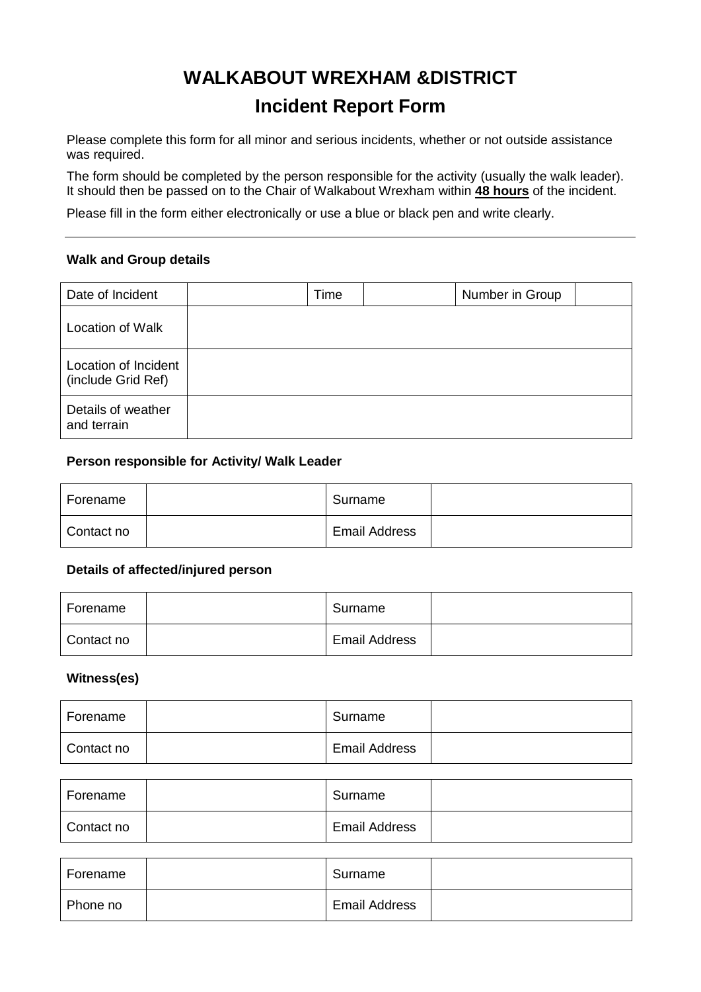# **WALKABOUT WREXHAM &DISTRICT Incident Report Form**

Please complete this form for all minor and serious incidents, whether or not outside assistance was required.

The form should be completed by the person responsible for the activity (usually the walk leader). It should then be passed on to the Chair of Walkabout Wrexham within **48 hours** of the incident.

Please fill in the form either electronically or use a blue or black pen and write clearly.

#### **Walk and Group details**

| Date of Incident                           | Time | Number in Group |  |
|--------------------------------------------|------|-----------------|--|
| <b>Location of Walk</b>                    |      |                 |  |
| Location of Incident<br>(include Grid Ref) |      |                 |  |
| Details of weather<br>and terrain          |      |                 |  |

#### **Person responsible for Activity/ Walk Leader**

| Forename   | Surname              |  |
|------------|----------------------|--|
| Contact no | <b>Email Address</b> |  |

#### **Details of affected/injured person**

| Forename   | Surname              |  |
|------------|----------------------|--|
| Contact no | <b>Email Address</b> |  |

#### **Witness(es)**

| Forename   | Surname              |  |
|------------|----------------------|--|
| Contact no | <b>Email Address</b> |  |

| Forename   | Surname              |  |
|------------|----------------------|--|
| Contact no | <b>Email Address</b> |  |

| Forename | Surname              |  |
|----------|----------------------|--|
| Phone no | <b>Email Address</b> |  |